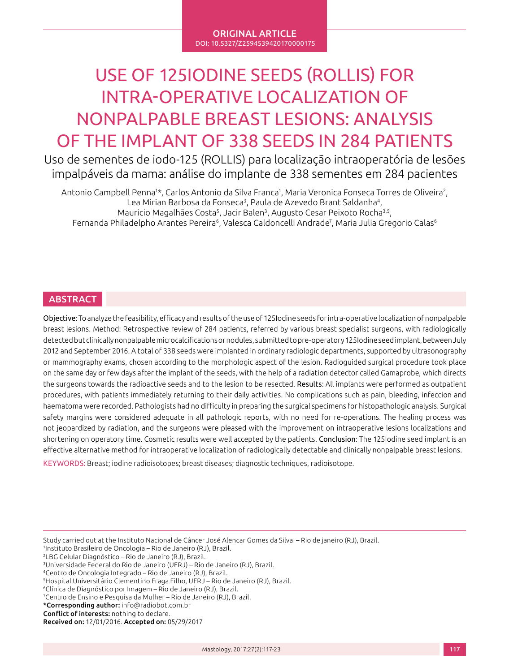ORIGINAL ARTICLE DOI: 10.5327/Z2594539420170000175

# USE OF 125IODINE SEEDS (ROLLIS) FOR INTRA-OPERATIVE LOCALIZATION OF NONPALPABLE BREAST LESIONS: ANALYSIS OF THE IMPLANT OF 338 SEEDS IN 284 PATIENTS

Uso de sementes de iodo-125 (ROLLIS) para localização intraoperatória de lesões impalpáveis da mama: análise do implante de 338 sementes em 284 pacientes

Antonio Campbell Penna1\*, Carlos Antonio da Silva Franca1, Maria Veronica Fonseca Torres de Oliveira<sup>2</sup>, Lea Mirian Barbosa da Fonseca<sup>3</sup>, Paula de Azevedo Brant Saldanha<sup>4</sup>, Mauricio Magalhães Costa5, Jacir Balen3, Augusto Cesar Peixoto Rocha3,5, Fernanda Philadelpho Arantes Pereira<sup>6</sup>, Valesca Caldoncelli Andrade<sup>7</sup>, Maria Julia Gregorio Calas<sup>6</sup>

# ABSTRACT

Objective: To analyze the feasibility, efficacy and results of the use of 125Iodine seeds for intra-operative localization of nonpalpable breast lesions. Method: Retrospective review of 284 patients, referred by various breast specialist surgeons, with radiologically detected but clinically nonpalpable microcalcifications or nodules, submitted to pre-operatory 125Iodine seed implant, between July 2012 and September 2016. A total of 338 seeds were implanted in ordinary radiologic departments, supported by ultrasonography or mammography exams, chosen according to the morphologic aspect of the lesion. Radioguided surgical procedure took place on the same day or few days after the implant of the seeds, with the help of a radiation detector called Gamaprobe, which directs the surgeons towards the radioactive seeds and to the lesion to be resected. Results: All implants were performed as outpatient procedures, with patients immediately returning to their daily activities. No complications such as pain, bleeding, infeccion and haematoma were recorded. Pathologists had no difficulty in preparing the surgical specimens for histopathologic analysis. Surgical safety margins were considered adequate in all pathologic reports, with no need for re-operations. The healing process was not jeopardized by radiation, and the surgeons were pleased with the improvement on intraoperative lesions localizations and shortening on operatory time. Cosmetic results were well accepted by the patients. Conclusion: The 125Iodine seed implant is an effective alternative method for intraoperative localization of radiologically detectable and clinically nonpalpable breast lesions.

KEYWORDS: Breast; iodine radioisotopes; breast diseases; diagnostic techniques, radioisotope.

Study carried out at the Instituto Nacional de Câncer José Alencar Gomes da Silva – Rio de janeiro (RJ), Brazil.

1 Instituto Brasileiro de Oncologia – Rio de Janeiro (RJ), Brazil.

2LBG Celular Diagnóstico – Rio de Janeiro (RJ), Brazil.

6Clínica de Diagnóstico por Imagem – Rio de Janeiro (RJ), Brazil.

7 Centro de Ensino e Pesquisa da Mulher – Rio de Janeiro (RJ), Brazil. \*Corresponding author: info@radiobot.com.br

Conflict of interests: nothing to declare.

<sup>3</sup>Universidade Federal do Rio de Janeiro (UFRJ) – Rio de Janeiro (RJ), Brazil.

<sup>4</sup>Centro de Oncologia Integrado – Rio de Janeiro (RJ), Brazil.

<sup>5</sup>Hospital Universitário Clementino Fraga Filho, UFRJ – Rio de Janeiro (RJ), Brazil.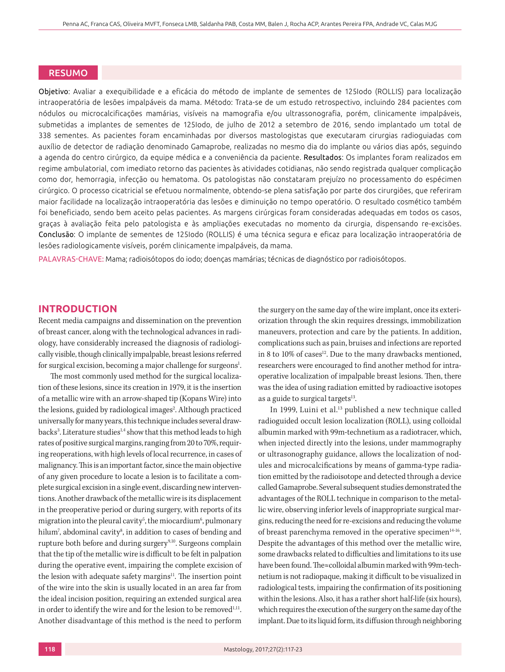# RESUMO

Objetivo: Avaliar a exequibilidade e a eficácia do método de implante de sementes de 125Iodo (ROLLIS) para localização intraoperatória de lesões impalpáveis da mama. Método: Trata-se de um estudo retrospectivo, incluindo 284 pacientes com nódulos ou microcalcificações mamárias, visíveis na mamografia e/ou ultrassonografia, porém, clinicamente impalpáveis, submetidas a implantes de sementes de 125Iodo, de julho de 2012 a setembro de 2016, sendo implantado um total de 338 sementes. As pacientes foram encaminhadas por diversos mastologistas que executaram cirurgias radioguiadas com auxílio de detector de radiação denominado Gamaprobe, realizadas no mesmo dia do implante ou vários dias após, seguindo a agenda do centro cirúrgico, da equipe médica e a conveniência da paciente. Resultados: Os implantes foram realizados em regime ambulatorial, com imediato retorno das pacientes às atividades cotidianas, não sendo registrada qualquer complicação como dor, hemorragia, infecção ou hematoma. Os patologistas não constataram prejuízo no processamento do espécimen cirúrgico. O processo cicatricial se efetuou normalmente, obtendo-se plena satisfação por parte dos cirurgiões, que referiram maior facilidade na localização intraoperatória das lesões e diminuição no tempo operatório. O resultado cosmético também foi beneficiado, sendo bem aceito pelas pacientes. As margens cirúrgicas foram consideradas adequadas em todos os casos, graças à avaliação feita pelo patologista e às ampliações executadas no momento da cirurgia, dispensando re-excisões. Conclusão: O implante de sementes de 125Iodo (ROLLIS) é uma técnica segura e eficaz para localização intraoperatória de lesões radiologicamente visíveis, porém clinicamente impalpáveis, da mama.

PALAVRAS-CHAVE: Mama; radioisótopos do iodo; doenças mamárias; técnicas de diagnóstico por radioisótopos.

# **INTRODUCTION**

Recent media campaigns and dissemination on the prevention of breast cancer, along with the technological advances in radiology, have considerably increased the diagnosis of radiologically visible, though clinically impalpable, breast lesions referred for surgical excision, becoming a major challenge for surgeons<sup>1</sup>. .

The most commonly used method for the surgical localization of these lesions, since its creation in 1979, it is the insertion of a metallic wire with an arrow-shaped tip (Kopans Wire) into the lesions, guided by radiological images<sup>2</sup>. Although practiced universally for many years, this technique includes several drawbacks<sup>3</sup>. Literature studies<sup>1,4</sup> show that this method leads to high rates of positive surgical margins, ranging from 20 to 70%, requiring reoperations, with high levels of local recurrence, in cases of malignancy. This is an important factor, since the main objective of any given procedure to locate a lesion is to facilitate a complete surgical excision in a single event, discarding new interventions. Another drawback of the metallic wire is its displacement in the preoperative period or during surgery, with reports of its migration into the pleural cavity<sup>5</sup>, the miocardium<sup>6</sup>, pulmonary hilum<sup>7</sup>, abdominal cavity<sup>8</sup>, in addition to cases of bending and rupture both before and during surgery<sup>9,10</sup>. Surgeons complain that the tip of the metallic wire is difficult to be felt in palpation during the operative event, impairing the complete excision of the lesion with adequate safety margins<sup>11</sup>. The insertion point of the wire into the skin is usually located in an area far from the ideal incision position, requiring an extended surgical area in order to identify the wire and for the lesion to be removed<sup>1,11</sup>. Another disadvantage of this method is the need to perform

the surgery on the same day of the wire implant, once its exteriorization through the skin requires dressings, immobilization maneuvers, protection and care by the patients. In addition, complications such as pain, bruises and infections are reported in 8 to 10% of cases<sup>12</sup>. Due to the many drawbacks mentioned, researchers were encouraged to find another method for intraoperative localization of impalpable breast lesions. Then, there was the idea of using radiation emitted by radioactive isotopes as a guide to surgical targets $13$ .

In 1999, Luini et al.<sup>13</sup> published a new technique called radioguided occult lesion localization (ROLL), using colloidal albumin marked with 99m-technetium as a radiotracer, which, when injected directly into the lesions, under mammography or ultrasonography guidance, allows the localization of nodules and microcalcifications by means of gamma-type radiation emitted by the radioisotope and detected through a device called Gamaprobe. Several subsequent studies demonstrated the advantages of the ROLL technique in comparison to the metallic wire, observing inferior levels of inappropriate surgical margins, reducing the need for re-excisions and reducing the volume of breast parenchyma removed in the operative specimen $14-16$ . Despite the advantages of this method over the metallic wire, some drawbacks related to difficulties and limitations to its use have been found. The≈colloidal albumin marked with 99m-technetium is not radiopaque, making it difficult to be visualized in radiological tests, impairing the confirmation of its positioning within the lesions. Also, it has a rather short half-life (six hours), which requires the execution of the surgery on the same day of the implant. Due to its liquid form, its diffusion through neighboring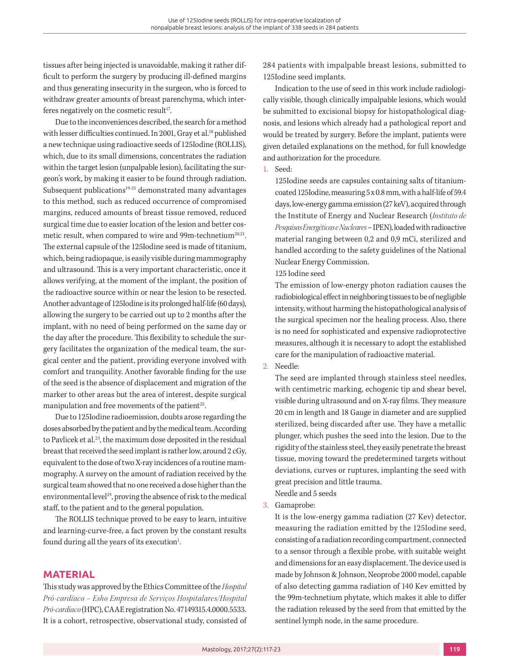tissues after being injected is unavoidable, making it rather difficult to perform the surgery by producing ill-defined margins and thus generating insecurity in the surgeon, who is forced to withdraw greater amounts of breast parenchyma, which interferes negatively on the cosmetic result $17$ .

Due to the inconveniences described, the search for a method with lesser difficulties continued. In 2001, Gray et al.<sup>18</sup> published a new technique using radioactive seeds of 125Iodine (ROLLIS), which, due to its small dimensions, concentrates the radiation within the target lesion (unpalpable lesion), facilitating the surgeon's work, by making it easier to be found through radiation. Subsequent publications<sup>19-21</sup> demonstrated many advantages to this method, such as reduced occurrence of compromised margins, reduced amounts of breast tissue removed, reduced surgical time due to easier location of the lesion and better cosmetic result, when compared to wire and 99m-technetium<sup>20,21</sup>. The external capsule of the 125Iodine seed is made of titanium, which, being radiopaque, is easily visible during mammography and ultrasound. This is a very important characteristic, once it allows verifying, at the moment of the implant, the position of the radioactive source within or near the lesion to be resected. Another advantage of 125Iodine is its prolonged half-life (60 days), allowing the surgery to be carried out up to 2 months after the implant, with no need of being performed on the same day or the day after the procedure. This flexibility to schedule the surgery facilitates the organization of the medical team, the surgical center and the patient, providing everyone involved with comfort and tranquility. Another favorable finding for the use of the seed is the absence of displacement and migration of the marker to other areas but the area of interest, despite surgical manipulation and free movements of the patient<sup>22</sup>.

Due to 125Iodine radioemission, doubts arose regarding the doses absorbed by the patient and by the medical team. According to Pavlicek et al.<sup>23</sup>, the maximum dose deposited in the residual breast that received the seed implant is rather low, around 2 cGy, equivalent to the dose of two X-ray incidences of a routine mammography. A survey on the amount of radiation received by the surgical team showed that no one received a dose higher than the environmental level $24$ , proving the absence of risk to the medical staff, to the patient and to the general population.

The ROLLIS technique proved to be easy to learn, intuitive and learning-curve-free, a fact proven by the constant results found during all the years of its execution<sup>1</sup>. .

# **MATERIAL**

This study was approved by the Ethics Committee of the *Hospital Pró-cardíaco – Esho Empresa de Serviços Hospitalares/Hospital Pró-cardíaco* (HPC), CAAE registration No. 47149315.4.0000.5533. It is a cohort, retrospective, observational study, consisted of 284 patients with impalpable breast lesions, submitted to 125Iodine seed implants.

Indication to the use of seed in this work include radiologically visible, though clinically impalpable lesions, which would be submitted to excisional biopsy for histopathological diagnosis, and lesions which already had a pathological report and would be treated by surgery. Before the implant, patients were given detailed explanations on the method, for full knowledge and authorization for the procedure.

## 1. Seed:

125Iodine seeds are capsules containing salts of titaniumcoated 125Iodine, measuring 5 x 0.8 mm, with a half-life of 59.4 days, low-energy gamma emission (27 keV), acquired through the Institute of Energy and Nuclear Research (*Instituto de Pesquisas Energéticas e Nucleares* – IPEN), loaded with radioactive material ranging between 0,2 and 0,9 mCi, sterilized and handled according to the safety guidelines of the National Nuclear Energy Commission.

## 125 Iodine seed

The emission of low-energy photon radiation causes the radiobiological effect in neighboring tissues to be of negligible intensity, without harming the histopathological analysis of the surgical specimen nor the healing process. Also, there is no need for sophisticated and expensive radioprotective measures, although it is necessary to adopt the established care for the manipulation of radioactive material.

2. Needle:

The seed are implanted through stainless steel needles, with centimetric marking, echogenic tip and shear bevel, visible during ultrasound and on X-ray films. They measure 20 cm in length and 18 Gauge in diameter and are supplied sterilized, being discarded after use. They have a metallic plunger, which pushes the seed into the lesion. Due to the rigidity of the stainless steel, they easily penetrate the breast tissue, moving toward the predetermined targets without deviations, curves or ruptures, implanting the seed with great precision and little trauma.

Needle and 5 seeds

3. Gamaprobe:

It is the low-energy gamma radiation (27 Kev) detector, measuring the radiation emitted by the 125Iodine seed, consisting of a radiation recording compartment, connected to a sensor through a flexible probe, with suitable weight and dimensions for an easy displacement. The device used is made by Johnson & Johnson, Neoprobe 2000 model, capable of also detecting gamma radiation of 140 Kev emitted by the 99m-technetium phytate, which makes it able to differ the radiation released by the seed from that emitted by the sentinel lymph node, in the same procedure.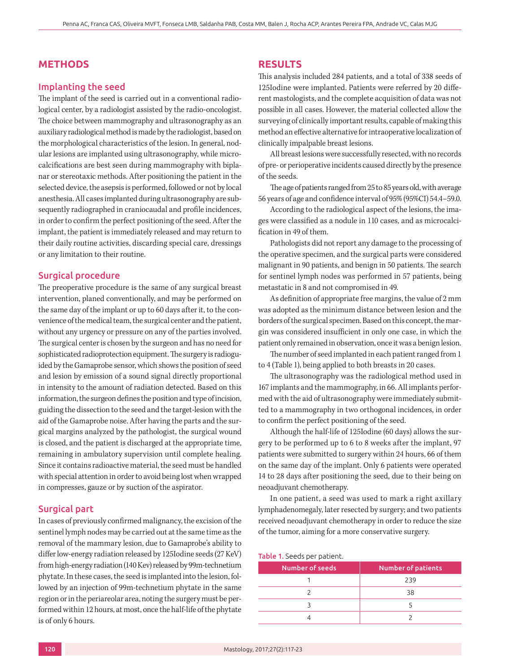# **METHODS**

#### Implanting the seed

The implant of the seed is carried out in a conventional radiological center, by a radiologist assisted by the radio-oncologist. The choice between mammography and ultrasonography as an auxiliary radiological method is made by the radiologist, based on the morphological characteristics of the lesion. In general, nodular lesions are implanted using ultrasonography, while microcalcifications are best seen during mammography with biplanar or stereotaxic methods. After positioning the patient in the selected device, the asepsis is performed, followed or not by local anesthesia. All cases implanted during ultrasonography are subsequently radiographed in craniocaudal and profile incidences, in order to confirm the perfect positioning of the seed. After the implant, the patient is immediately released and may return to their daily routine activities, discarding special care, dressings or any limitation to their routine.

#### Surgical procedure

The preoperative procedure is the same of any surgical breast intervention, planed conventionally, and may be performed on the same day of the implant or up to 60 days after it, to the convenience of the medical team, the surgical center and the patient, without any urgency or pressure on any of the parties involved. The surgical center is chosen by the surgeon and has no need for sophisticated radioprotection equipment. The surgery is radioguided by the Gamaprobe sensor, which shows the position of seed and lesion by emission of a sound signal directly proportional in intensity to the amount of radiation detected. Based on this information, the surgeon defines the position and type of incision, guiding the dissection to the seed and the target-lesion with the aid of the Gamaprobe noise. After having the parts and the surgical margins analyzed by the pathologist, the surgical wound is closed, and the patient is discharged at the appropriate time, remaining in ambulatory supervision until complete healing. Since it contains radioactive material, the seed must be handled with special attention in order to avoid being lost when wrapped in compresses, gauze or by suction of the aspirator.

### Surgical part

In cases of previously confirmed malignancy, the excision of the sentinel lymph nodes may be carried out at the same time as the removal of the mammary lesion, due to Gamaprobe's ability to differ low-energy radiation released by 125Iodine seeds (27 KeV) from high-energy radiation (140 Kev) released by 99m-technetium phytate. In these cases, the seed is implanted into the lesion, followed by an injection of 99m-technetium phytate in the same region or in the periareolar area, noting the surgery must be performed within 12 hours, at most, once the half-life of the phytate is of only 6 hours.

#### **RESULTS**

This analysis included 284 patients, and a total of 338 seeds of 125Iodine were implanted. Patients were referred by 20 different mastologists, and the complete acquisition of data was not possible in all cases. However, the material collected allow the surveying of clinically important results, capable of making this method an effective alternative for intraoperative localization of clinically impalpable breast lesions.

All breast lesions were successfully resected, with no records of pre- or perioperative incidents caused directly by the presence of the seeds.

The age of patients ranged from 25 to 85 years old, with average 56 years of age and confidence interval of 95% (95%CI) 54.4–59.0.

According to the radiological aspect of the lesions, the images were classified as a nodule in 110 cases, and as microcalcification in 49 of them.

Pathologists did not report any damage to the processing of the operative specimen, and the surgical parts were considered malignant in 90 patients, and benign in 50 patients. The search for sentinel lymph nodes was performed in 57 patients, being metastatic in 8 and not compromised in 49.

As definition of appropriate free margins, the value of 2 mm was adopted as the minimum distance between lesion and the borders of the surgical specimen. Based on this concept, the margin was considered insufficient in only one case, in which the patient only remained in observation, once it was a benign lesion.

The number of seed implanted in each patient ranged from 1 to 4 (Table 1), being applied to both breasts in 20 cases.

The ultrasonography was the radiological method used in 167 implants and the mammography, in 66. All implants performed with the aid of ultrasonography were immediately submitted to a mammography in two orthogonal incidences, in order to confirm the perfect positioning of the seed.

Although the half-life of 125Iodine (60 days) allows the surgery to be performed up to 6 to 8 weeks after the implant, 97 patients were submitted to surgery within 24 hours, 66 of them on the same day of the implant. Only 6 patients were operated 14 to 28 days after positioning the seed, due to their being on neoadjuvant chemotherapy.

In one patient, a seed was used to mark a right axillary lymphadenomegaly, later resected by surgery; and two patients received neoadjuvant chemotherapy in order to reduce the size of the tumor, aiming for a more conservative surgery.

Table 1. Seeds per patient.

| Number of seeds | <b>Number of patients</b> |
|-----------------|---------------------------|
|                 | 239                       |
|                 | 38                        |
|                 |                           |
|                 |                           |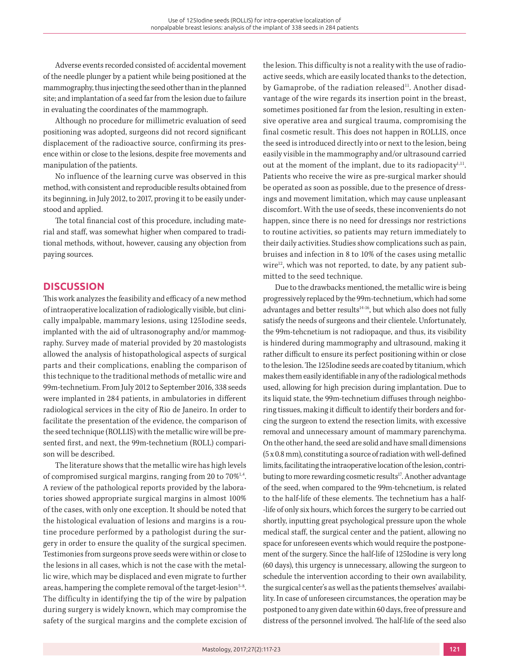Adverse events recorded consisted of: accidental movement of the needle plunger by a patient while being positioned at the mammography, thus injecting the seed other than in the planned site; and implantation of a seed far from the lesion due to failure in evaluating the coordinates of the mammograph.

Although no procedure for millimetric evaluation of seed positioning was adopted, surgeons did not record significant displacement of the radioactive source, confirming its presence within or close to the lesions, despite free movements and manipulation of the patients.

No influence of the learning curve was observed in this method, with consistent and reproducible results obtained from its beginning, in July 2012, to 2017, proving it to be easily understood and applied.

The total financial cost of this procedure, including material and staff, was somewhat higher when compared to traditional methods, without, however, causing any objection from paying sources.

# **DISCUSSION**

This work analyzes the feasibility and efficacy of a new method of intraoperative localization of radiologically visible, but clinically impalpable, mammary lesions, using 125Iodine seeds, implanted with the aid of ultrasonography and/or mammography. Survey made of material provided by 20 mastologists allowed the analysis of histopathological aspects of surgical parts and their complications, enabling the comparison of this technique to the traditional methods of metallic wire and 99m-technetium. From July 2012 to September 2016, 338 seeds were implanted in 284 patients, in ambulatories in different radiological services in the city of Rio de Janeiro. In order to facilitate the presentation of the evidence, the comparison of the seed technique (ROLLIS) with the metallic wire will be presented first, and next, the 99m-technetium (ROLL) comparison will be described.

The literature shows that the metallic wire has high levels of compromised surgical margins, ranging from 20 to 70%<sup>1,4</sup>. A review of the pathological reports provided by the laboratories showed appropriate surgical margins in almost 100% of the cases, with only one exception. It should be noted that the histological evaluation of lesions and margins is a routine procedure performed by a pathologist during the surgery in order to ensure the quality of the surgical specimen. Testimonies from surgeons prove seeds were within or close to the lesions in all cases, which is not the case with the metallic wire, which may be displaced and even migrate to further areas, hampering the complete removal of the target-lesion<sup>5-8</sup>. The difficulty in identifying the tip of the wire by palpation during surgery is widely known, which may compromise the safety of the surgical margins and the complete excision of the lesion. This difficulty is not a reality with the use of radioactive seeds, which are easily located thanks to the detection, by Gamaprobe, of the radiation released<sup>11</sup>. Another disadvantage of the wire regards its insertion point in the breast, sometimes positioned far from the lesion, resulting in extensive operative area and surgical trauma, compromising the final cosmetic result. This does not happen in ROLLIS, once the seed is introduced directly into or next to the lesion, being easily visible in the mammography and/or ultrasound carried out at the moment of the implant, due to its radiopacity<sup>1,11</sup>. Patients who receive the wire as pre-surgical marker should be operated as soon as possible, due to the presence of dressings and movement limitation, which may cause unpleasant discomfort. With the use of seeds, these inconvenients do not happen, since there is no need for dressings nor restrictions to routine activities, so patients may return immediately to their daily activities. Studies show complications such as pain, bruises and infection in 8 to 10% of the cases using metallic wire $12$ , which was not reported, to date, by any patient submitted to the seed technique.

Due to the drawbacks mentioned, the metallic wire is being progressively replaced by the 99m-technetium, which had some advantages and better results<sup>14-16</sup>, but which also does not fully satisfy the needs of surgeons and their clientele. Unfortunately, the 99m-tehcnetium is not radiopaque, and thus, its visibility is hindered during mammography and ultrasound, making it rather difficult to ensure its perfect positioning within or close to the lesion. The 125Iodine seeds are coated by titanium, which makes them easily identifiable in any of the radiological methods used, allowing for high precision during implantation. Due to its liquid state, the 99m-technetium diffuses through neighboring tissues, making it difficult to identify their borders and forcing the surgeon to extend the resection limits, with excessive removal and unnecessary amount of mammary parenchyma. On the other hand, the seed are solid and have small dimensions (5 x 0.8 mm), constituting a source of radiation with well-defined limits, facilitating the intraoperative location of the lesion, contributing to more rewarding cosmetic results<sup>17</sup>. Another advantage of the seed, when compared to the 99m-tehcnetium, is related to the half-life of these elements. The technetium has a half- -life of only six hours, which forces the surgery to be carried out shortly, inputting great psychological pressure upon the whole medical staff, the surgical center and the patient, allowing no space for unforeseen events which would require the postponement of the surgery. Since the half-life of 125Iodine is very long (60 days), this urgency is unnecessary, allowing the surgeon to schedule the intervention according to their own availability, the surgical center's as well as the patients themselves' availability. In case of unforeseen circumstances, the operation may be postponed to any given date within 60 days, free of pressure and distress of the personnel involved. The half-life of the seed also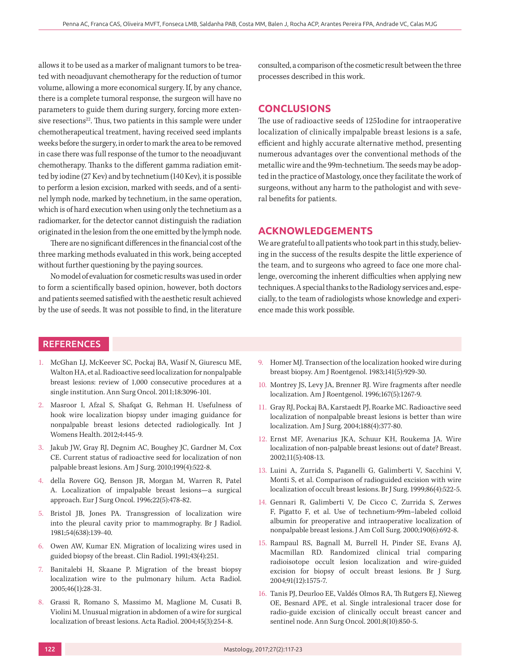allows it to be used as a marker of malignant tumors to be treated with neoadjuvant chemotherapy for the reduction of tumor volume, allowing a more economical surgery. If, by any chance, there is a complete tumoral response, the surgeon will have no parameters to guide them during surgery, forcing more extensive resections $2^2$ . Thus, two patients in this sample were under chemotherapeutical treatment, having received seed implants weeks before the surgery, in order to mark the area to be removed in case there was full response of the tumor to the neoadjuvant chemotherapy. Thanks to the different gamma radiation emitted by iodine (27 Kev) and by technetium (140 Kev), it is possible to perform a lesion excision, marked with seeds, and of a sentinel lymph node, marked by technetium, in the same operation, which is of hard execution when using only the technetium as a radiomarker, for the detector cannot distinguish the radiation originated in the lesion from the one emitted by the lymph node.

There are no significant differences in the financial cost of the three marking methods evaluated in this work, being accepted without further questioning by the paying sources.

No model of evaluation for cosmetic results was used in order to form a scientifically based opinion, however, both doctors and patients seemed satisfied with the aesthetic result achieved by the use of seeds. It was not possible to find, in the literature consulted, a comparison of the cosmetic result between the three processes described in this work.

## **CONCLUSIONS**

The use of radioactive seeds of 125Iodine for intraoperative localization of clinically impalpable breast lesions is a safe, efficient and highly accurate alternative method, presenting numerous advantages over the conventional methods of the metallic wire and the 99m-technetium. The seeds may be adopted in the practice of Mastology, once they facilitate the work of surgeons, without any harm to the pathologist and with several benefits for patients.

## **ACKNOWLEDGEMENTS**

We are grateful to all patients who took part in this study, believing in the success of the results despite the little experience of the team, and to surgeons who agreed to face one more challenge, overcoming the inherent difficulties when applying new techniques. A special thanks to the Radiology services and, especially, to the team of radiologists whose knowledge and experience made this work possible.

## **REFERENCES**

- 1. McGhan LJ, McKeever SC, Pockaj BA, Wasif N, Giurescu ME, Walton HA, et al. Radioactive seed localization for nonpalpable breast lesions: review of 1,000 consecutive procedures at a single institution. Ann Surg Oncol. 2011;18:3096-101.
- 2. Masroor I, Afzal S, Shafqat G, Rehman H. Usefulness of hook wire localization biopsy under imaging guidance for nonpalpable breast lesions detected radiologically. Int J Womens Health. 2012;4:445-9.
- 3. Jakub JW, Gray RJ, Degnim AC, Boughey JC, Gardner M, Cox CE. Current status of radioactive seed for localization of non palpable breast lesions. Am J Surg. 2010;199(4):522-8.
- 4. della Rovere GQ, Benson JR, Morgan M, Warren R, Patel A. Localization of impalpable breast lesions—a surgical approach. Eur J Surg Oncol. 1996;22(5):478-82.
- 5. Bristol JB, Jones PA. Transgression of localization wire into the pleural cavity prior to mammography. Br J Radiol. 1981;54(638):139-40.
- 6. Owen AW, Kumar EN. Migration of localizing wires used in guided biopsy of the breast. Clin Radiol. 1991;43(4):251.
- 7. Banitalebi H, Skaane P. Migration of the breast biopsy localization wire to the pulmonary hilum. Acta Radiol. 2005;46(1):28-31.
- 8. Grassi R, Romano S, Massimo M, Maglione M, Cusati B, Violini M. Unusual migration in abdomen of a wire for surgical localization of breast lesions. Acta Radiol. 2004;45(3):254-8.
- 9. Homer MJ. Transection of the localization hooked wire during breast biopsy. Am J Roentgenol. 1983;141(5):929-30.
- 10. Montrey JS, Levy JA, Brenner RJ. Wire fragments after needle localization. Am J Roentgenol. 1996;167(5):1267-9.
- 11. Gray RJ, Pockaj BA, Karstaedt PJ, Roarke MC. Radioactive seed localization of nonpalpable breast lesions is better than wire localization. Am J Surg. 2004;188(4):377-80.
- 12. Ernst MF, Avenarius JKA, Schuur KH, Roukema JA. Wire localization of non-palpable breast lesions: out of date? Breast. 2002;11(5):408-13.
- 13. Luini A, Zurrida S, Paganelli G, Galimberti V, Sacchini V, Monti S, et al. Comparison of radioguided excision with wire localization of occult breast lesions. Br J Surg. 1999;86(4):522-5.
- 14. Gennari R, Galimberti V, De Cicco C, Zurrida S, Zerwes F, Pigatto F, et al. Use of technetium-99m–labeled colloid albumin for preoperative and intraoperative localization of nonpalpable breast lesions. J Am Coll Surg. 2000;190(6):692-8.
- 15. Rampaul RS, Bagnall M, Burrell H, Pinder SE, Evans AJ, Macmillan RD. Randomized clinical trial comparing radioisotope occult lesion localization and wire-guided excision for biopsy of occult breast lesions. Br J Surg. 2004;91(12):1575-7.
- 16. Tanis PJ, Deurloo EE, Valdés Olmos RA, Th Rutgers EJ, Nieweg OE, Besnard APE, et al. Single intralesional tracer dose for radio-guide excision of clinically occult breast cancer and sentinel node. Ann Surg Oncol. 2001;8(10):850-5.